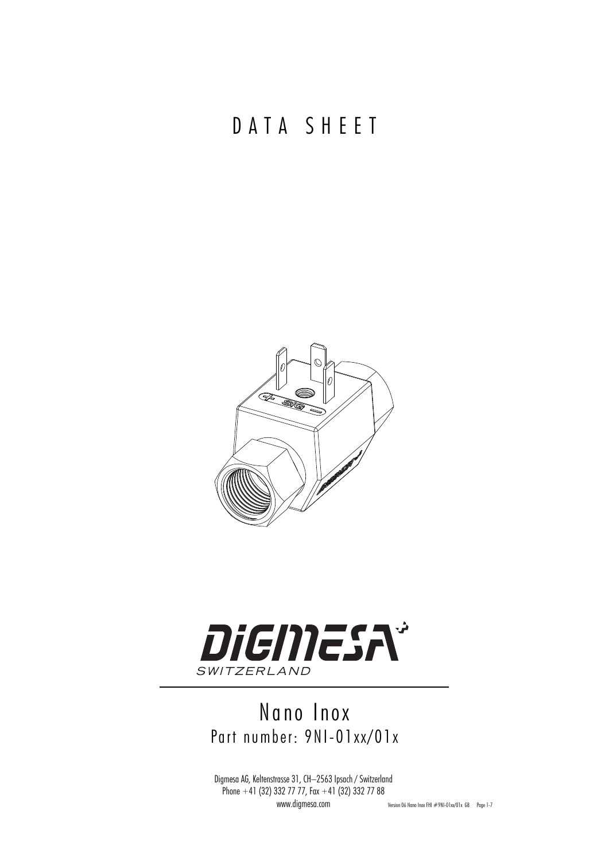## DATA SHEET





## Nano Inox Part number: 9NI-01xx/01x

Digmesa AG, Keltenstrasse 31, CH–2563 Ipsach / Switzerland Phone  $+41$  (32) 332 77 77, Fax  $+41$  (32) 332 77 88

www.digmesa.com Version 06 Nano Inox FHI #9NI-01xx/01x GB Page 1-7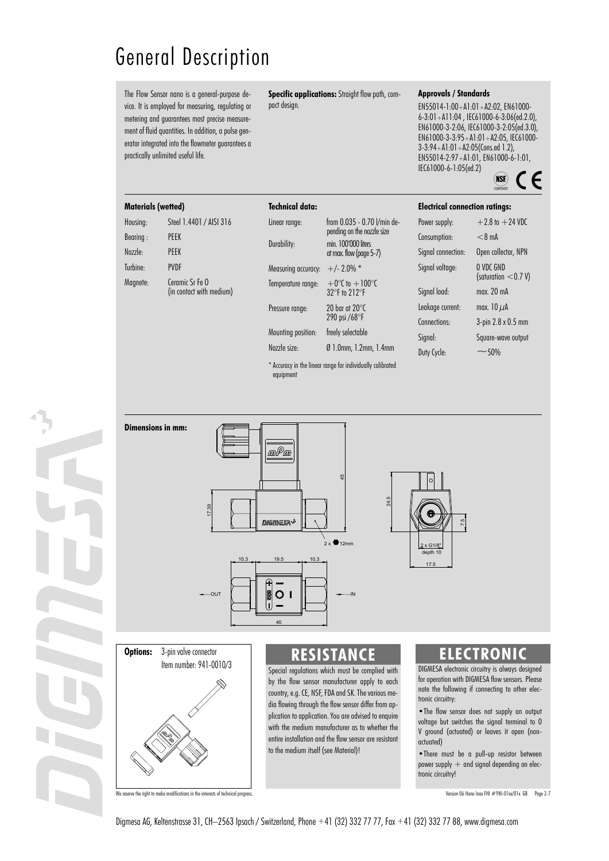# General Description

The Flow Sensor nano is a general-purpose device. It is employed for measuring, regulating or metering and guarantees most precise measurement of fluid quantities. In addition, a pulse generator integrated into the flowmeter guarantees a practically unlimited useful life.

**Specific applications:** Straight flow path, compact design.

#### **Approvals / Standards**

EN55014-1:00+A1:01+A2:02, EN61000- 6-3:01+A11:04 , IEC61000-6-3:06(ed.2.0), EN61000-3-2:06, IEC61000-3-2:05(ed.3.0), EN61000-3-3:95+A1:01+A2:05, IEC61000-  $3-3:94+A1:01+A2:05(Cons.edu 1.2)$ EN55014-2:97+A1:01, EN61000-6-1:01, IEC61000-6-1:05(ed.2)CE  $(NSE)$ 



| Housing: | Steel 1.4401 / AISI 316                     |
|----------|---------------------------------------------|
| Bearing: | <b>PFFK</b>                                 |
| Nozzle:  | <b>PFFK</b>                                 |
| Turbine: | <b>PVDF</b>                                 |
| Magnete: | Cernmic Sr Fe O<br>(in contact with medium) |

| <b>Technical data:</b> |                                                           |
|------------------------|-----------------------------------------------------------|
| Linear range:          | from 0.035 - 0.70 l/min de-<br>pending on the nozzle size |
| Durability:            | min. 100'000 liters<br>at max. flow (page 5-7)            |
| Measuring accuracy:    | $+/- 2.0\%$ *                                             |
| Temperature range:     | $+0^{\circ}$ C to $+100^{\circ}$ C<br>32°F to 212°F       |
| Pressure range:        | $20$ bar at $20^{\circ}$ C<br>290 psi /68°F               |
| Mounting position:     | freely selectable                                         |
| Nozzle size:           | Ø 1.0mm, 1.2mm, 1.4mm                                     |
| $-1$                   | $f(x) = f(x) + f(x) + f(x) + f(x) + f(x) + f(x)$          |

Accuracy in the linear range for individually calibrated equipment

| <b>Electrical connection ratings:</b> |                                     |  |  |  |  |
|---------------------------------------|-------------------------------------|--|--|--|--|
| Power supply:                         | $+2.8$ to $+24$ VDC                 |  |  |  |  |
| Consumption:                          | $< 8 \text{ mA}$                    |  |  |  |  |
| Signal connection:                    | Open collector, NPN                 |  |  |  |  |
| Signal voltage:                       | O VDC GND<br>(saturation $<$ 0.7 V) |  |  |  |  |
| Signal load:                          | max. 20 mA                          |  |  |  |  |
| Leakage current:                      | max. $10 \mu$ A                     |  |  |  |  |
| Connections:                          | 3-pin 2.8 x 0.5 mm                  |  |  |  |  |
| Signal:                               | Square-wave output                  |  |  |  |  |
| Duty Cycle:                           | $~\sim$ 50%                         |  |  |  |  |





### **RESISTANCE**

Special regulations which must be complied with by the flow sensor manufacturer apply to each country, e.g. CE, NSF, FDA and SK. The various media flowing through the flow sensor differ from application to application. You are advised to enquire with the medium manufacturer as to whether the entire installation and the flow sensor are resistant to the medium itself (see Material)!

### **ELECTRONIC**

DIGMESA electronic circuitry is always designed for operation with DIGMESA flow sensors. Please note the following if connecting to other electronic circuitry:

•The flow sensor does not supply an output voltage but switches the signal terminal to 0 V ground (actuated) or leaves it open (nonactuated)

•There must be a pull-up resistor between power supply  $+$  and signal depending on electronic circuitry!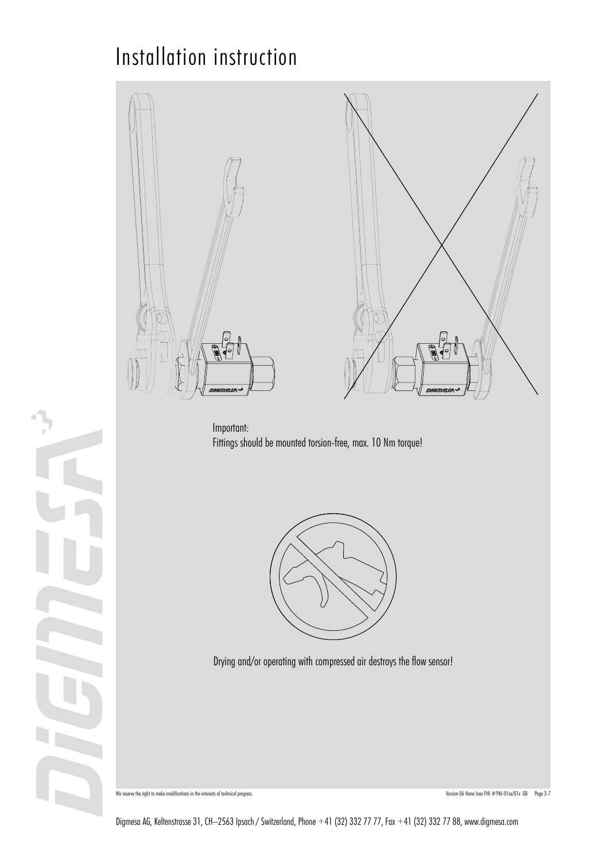## Installation instruction





Important: Fittings should be mounted torsion-free, max. 10 Nm torque!



Drying and/or operating with compressed air destroys the flow sensor!



We reserve the right to make modifications in the interests of technical progress. Change the reserve the right of the right of the interests of technical progress.

Digmesa AG, Keltenstrasse 31, CH–2563 Ipsach / Switzerland, Phone +41 (32) 332 77 77, Fax +41 (32) 332 77 88, www.digmesa.com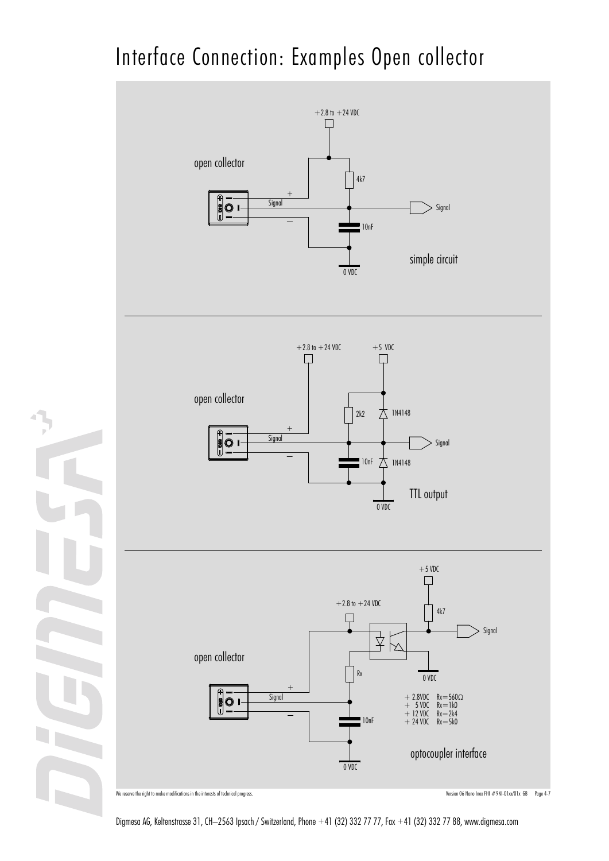# Interface Connection: Examples Open collector



Digmesa AG, Keltenstrasse 31, CH–2563 Ipsach / Switzerland, Phone +41 (32) 332 77 77, Fax +41 (32) 332 77 88, www.digmesa.com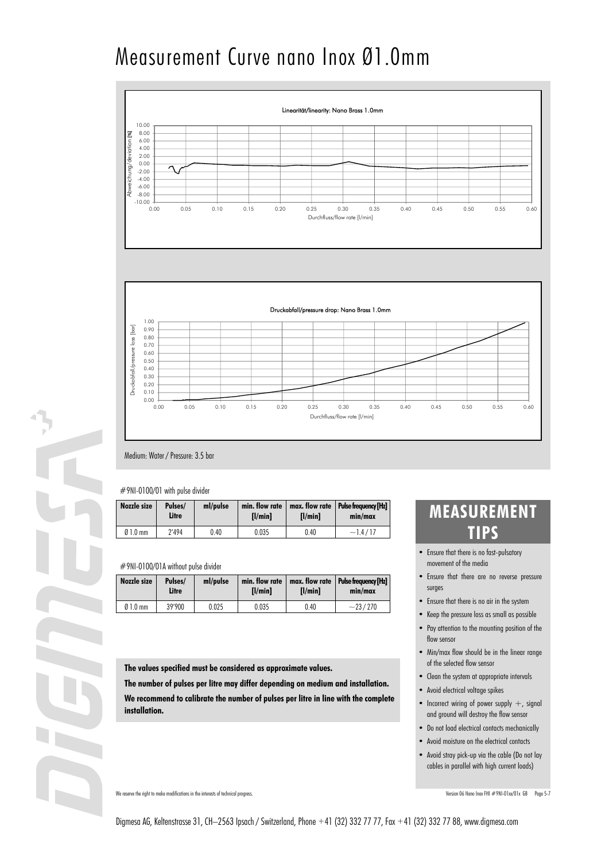# Measurement Curve nano Inox Ø1.0mm





### Medium: Water / Pressure: 3.5 bar

### #9NI-0100/01 with pulse divider

| Nozzle size | Pulses/<br>Litre | ml/pulse | min. flow rate<br>$I$ /min $I$ | $I$ /min $I$ | $max.$ flow rate   Pulse frequency $[Hz]$<br>min/max |
|-------------|------------------|----------|--------------------------------|--------------|------------------------------------------------------|
| $01.0$ mm   | 2'494            | 0.40     | 0.035                          | 0.40         | $-1.4/17$                                            |

### #9NI-0100/01A without pulse divider

| Nozzle size | Pulses/<br>Litre | ml/pulse | min. flow rate<br>$I$ /min $I$ | I/minI | max. flow rate   Pulse frequency [Hz]<br>min/max |
|-------------|------------------|----------|--------------------------------|--------|--------------------------------------------------|
| $01.0$ mm   | 39'900           | 0.025    | 0.035                          | 0.40   | $-23/270$                                        |

**The values specified must be considered as approximate values.**

**The number of pulses per litre may differ depending on medium and installation.**

**We recommend to calibrate the number of pulses per litre in line with the complete installation.**

### We reserve the right to make modifications in the interests of technical progress. Version 06 Nano Inox FHI #9NI-01xx/01x GB Page 5-7

### **MEASUREMENT TIPS**

- Ensure that there is no fast-pulsatory movement of the media
- Ensure that there are no reverse pressure surges
- Ensure that there is no air in the system
- Keep the pressure loss as small as possible
- Pay attention to the mounting position of the flow sensor
- Min/max flow should be in the linear range of the selected flow sensor
- Clean the system at appropriate intervals
- Avoid electrical voltage spikes
- Incorrect wiring of power supply  $+$ , signal and ground will destroy the flow sensor
- Do not load electrical contacts mechanically
- Avoid moisture on the electrical contacts
- Avoid stray pick-up via the cable (Do not lay cables in parallel with high current loads)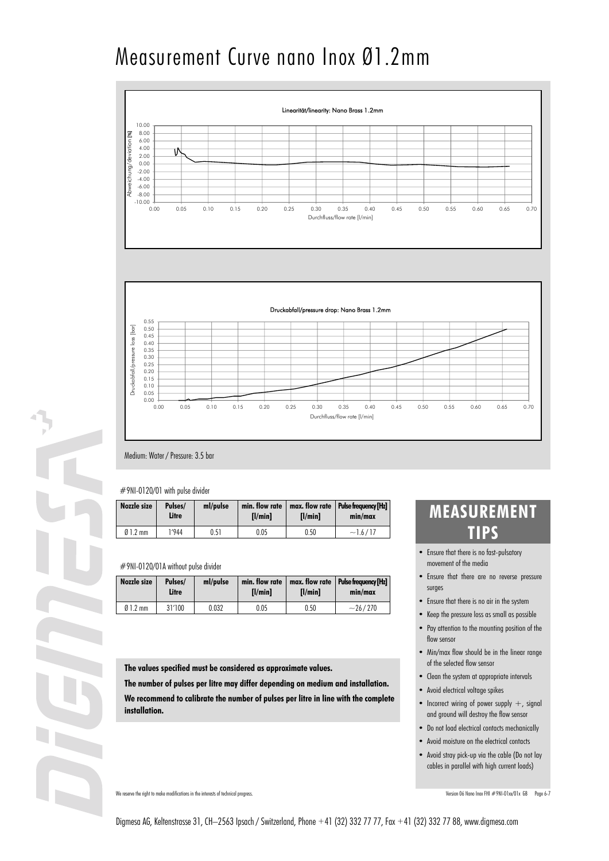# Measurement Curve nano Inox Ø1.2mm





### Medium: Water / Pressure: 3.5 bar

### #9NI-0120/01 with pulse divider

| Nozzle size | Pulses/<br>Litre | ml/pulse | min. flow rate<br>$I$ /min $I$ | $I$ /min $I$ | max. flow rate   Pulse frequency [Hz]<br>min/max |
|-------------|------------------|----------|--------------------------------|--------------|--------------------------------------------------|
| $Ø1.2$ mm   | 1'944            | 0.51     | 0.05                           | 0.50         | $-1.6/17$                                        |

### #9NI-0120/01A without pulse divider

| Nozzle size | Pulses/<br>Litre | ml/pulse | min. flow rate<br>$I$ /min $I$ | I/minI | max. flow rate   Pulse frequency [Hz]<br>min/max |
|-------------|------------------|----------|--------------------------------|--------|--------------------------------------------------|
| $01.2$ mm   | 31'100           | 0.032    | 0.05                           | 0.50   | $-26/270$                                        |

**The values specified must be considered as approximate values.**

**The number of pulses per litre may differ depending on medium and installation.**

**We recommend to calibrate the number of pulses per litre in line with the complete installation.**

### • Ensure that there is no fast-pulsatory movement of the media **TIPS**

**MEASUREMENT** 

- Ensure that there are no reverse pressure surges
- Ensure that there is no air in the system
- Keep the pressure loss as small as possible
- Pay attention to the mounting position of the flow sensor
- Min/max flow should be in the linear range of the selected flow sensor
- Clean the system at appropriate intervals
- Avoid electrical voltage spikes
- Incorrect wiring of power supply  $+$ , signal and ground will destroy the flow sensor
- Do not load electrical contacts mechanically
- Avoid moisture on the electrical contacts
- Avoid stray pick-up via the cable (Do not lay cables in parallel with high current loads)

We reserve the right to make modifications in the interests of technical progress. Version 06 Nano Inox FHI #9NI-01xx/01x GB Page 6-7